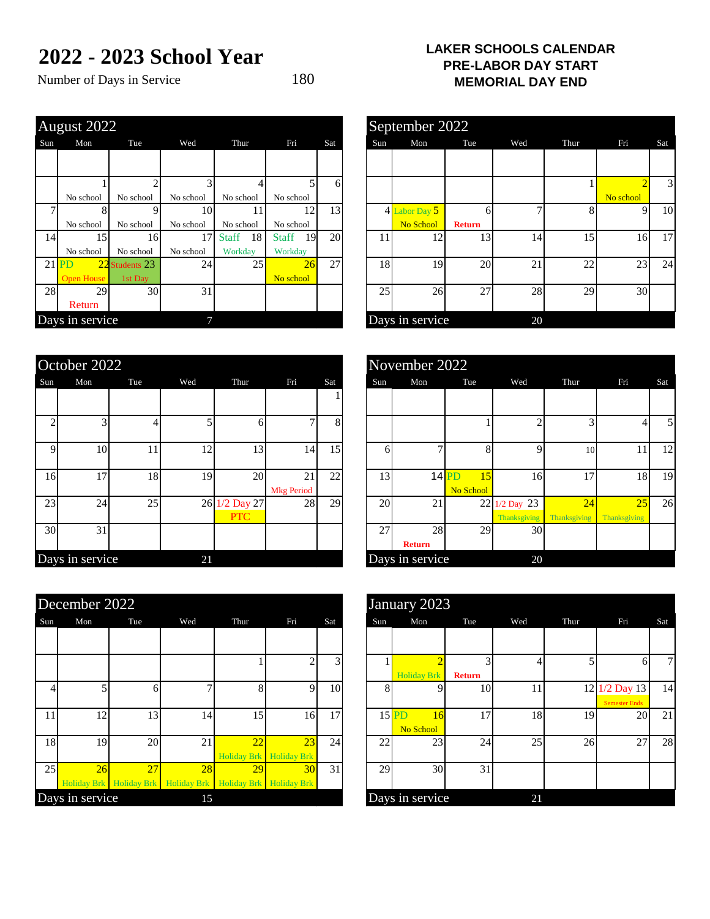## **2022 - 2023 School Year**

Number of Days in Service 180

| <b>LAKER SCHOOLS CALENDAR</b> |
|-------------------------------|
| <b>PRE-LABOR DAY START</b>    |
| <b>MEMORIAL DAY END</b>       |

| Mon               | Tue       | Wed                                                                 | Thur                  | Fri          | Sat |                                  |    | Mon             | Tue           | Wed                               | Thur | Fri       | Sat                  |
|-------------------|-----------|---------------------------------------------------------------------|-----------------------|--------------|-----|----------------------------------|----|-----------------|---------------|-----------------------------------|------|-----------|----------------------|
|                   |           |                                                                     |                       |              |     |                                  |    |                 |               |                                   |      |           |                      |
|                   |           |                                                                     |                       |              |     |                                  |    |                 |               |                                   |      |           |                      |
|                   |           |                                                                     |                       |              |     |                                  |    |                 |               |                                   |      |           |                      |
| No school         | No school | No school                                                           | No school             | No school    |     |                                  |    |                 |               |                                   |      | No school |                      |
|                   |           |                                                                     |                       |              |     |                                  |    |                 |               |                                   |      |           |                      |
| No school         | No school | No school                                                           | No school             | No school    |     |                                  |    | No School       | <b>Return</b> |                                   |      |           |                      |
| 14                |           | 17                                                                  | 18<br><b>Staff</b>    | <b>Staff</b> |     |                                  | 11 | 12              | 13            | 14                                | 15   |           |                      |
| No school         | No school | No school                                                           | Workday               | Workday      |     |                                  |    |                 |               |                                   |      |           |                      |
| <b>PD</b>         |           |                                                                     | 25                    |              | 27  |                                  |    | 19              | 20            | 21                                | 22   |           | $\overline{c}$       |
| <b>Open House</b> | 1st Day   |                                                                     |                       | No school    |     |                                  |    |                 |               |                                   |      |           |                      |
| 28<br>29          |           | 31                                                                  |                       |              |     |                                  |    | 26              | 27            | 28                                | 29   |           |                      |
| Return            |           |                                                                     |                       |              |     |                                  |    |                 |               |                                   |      |           |                      |
|                   |           |                                                                     |                       |              |     |                                  |    |                 |               | 20                                |      |           |                      |
|                   |           | August 2022<br>15 <sup>1</sup><br>22 Students 23<br>Days in service | 16 <sup> </sup><br>30 | 10<br>24     |     | 61<br>13<br>12<br>20<br>19<br>26 |    | Sun<br>18<br>25 | 4 Labor Day 5 | September 2022<br>Days in service |      |           | 91<br>16<br>23<br>30 |

|             | October 2022    |     |     |                          |                         |     |     | November 2022       |                            |                              |
|-------------|-----------------|-----|-----|--------------------------|-------------------------|-----|-----|---------------------|----------------------------|------------------------------|
| Sun         | Mon             | Tue | Wed | Thur                     | Fri                     | Sat | Sun | Mon                 | Tue                        |                              |
|             |                 |     |     |                          |                         |     |     |                     |                            |                              |
| ◠           | 3               |     |     | 6                        |                         | 8   |     |                     |                            |                              |
| $\mathbf Q$ | 10              | 11  | 12  | 13                       | 14                      | 15  | 6   | ⇁                   | 8                          |                              |
| 16          | 17              | 18  | 19  | 20                       | 21<br><b>Mkg Period</b> | 22  | 13  |                     | $14$ PD<br>15<br>No School |                              |
| 23          | 24              | 25  | 26  | 1/2 Day 27<br><b>PTC</b> | 28                      | 29  | 20  | 21                  | 22                         | $1/2$ Day 23<br>Thanksgiving |
| 30          | 31              |     |     |                          |                         |     | 27  | 28<br><b>Return</b> | 29                         |                              |
|             | Days in service |     | 21  |                          |                         |     |     | Days in service     |                            |                              |

|     | December 2022   |                               |     |                                           |                                      |     |     | January 2023               |               |     |
|-----|-----------------|-------------------------------|-----|-------------------------------------------|--------------------------------------|-----|-----|----------------------------|---------------|-----|
| Sun | Mon             | Tue                           | Wed | Thur                                      | Fri                                  | Sat | Sun | Mon                        | Tue           | Wed |
|     |                 |                               |     |                                           |                                      |     |     |                            |               |     |
|     |                 |                               |     |                                           |                                      | 3   |     | <b>Holiday Brk</b>         | <b>Return</b> | 4   |
| 4   | 5               | h                             |     | 8                                         | Q                                    | 10  | 8   |                            | 10            | 11  |
| 11  | 12              | 13                            | 14  | 15 <sup>1</sup>                           | 16                                   | 17  |     | $15$ PD<br>16<br>No School | 17            | 18  |
| 18  | 19              | 20                            | 21  | 22                                        | 23<br><b>Holiday Brk</b> Holiday Brk | 24  | 22  | 23                         | 24            | 25  |
| 25  | 26              | 27<br>Holiday Brk Holiday Brk | 28  | 29<br>Holiday Brk Holiday Brk Holiday Brk | 30                                   | 31  | 29  | 30                         | 31            |     |
|     | Days in service |                               | 15  |                                           |                                      |     |     | Days in service            |               | 21  |

|                | $\frac{\text{august } 2022}{\text{gust } 2022}$ |                 |           |                    |                    |     |     | September 2022  |               |     |      |           |     |
|----------------|-------------------------------------------------|-----------------|-----------|--------------------|--------------------|-----|-----|-----------------|---------------|-----|------|-----------|-----|
| un             | Mon                                             | Tue             | Wed       | Thur               | Fri                | Sat | Sun | Mon             | Tue           | Wed | Thur | Fri       | Sat |
|                |                                                 |                 |           |                    |                    |     |     |                 |               |     |      |           |     |
|                |                                                 |                 |           |                    |                    | 6   |     |                 |               |     |      |           | 3   |
|                | No school                                       | No school       | No school | No school          | No school          |     |     |                 |               |     |      | No school |     |
| $\overline{7}$ |                                                 |                 | 10        | 11                 | 12                 | 13  |     | 4 Labor Day 5   | 61            |     |      | $\Omega$  | 10  |
|                | No school                                       | No school       | No school | No school          | No school          |     |     | No School       | <b>Return</b> |     |      |           |     |
| 14             | 15                                              | 16 <sup>I</sup> | 17        | <b>Staff</b><br>18 | 19<br><b>Staff</b> | 20  | 11  | 12              | 13            | 14  | 15   | 16        | 17  |
|                | No school                                       | No school       | No school | Workday            | Workday            |     |     |                 |               |     |      |           |     |
|                | $21$ PD<br>$22$ St                              | tudents 23      | 24        | 25                 | 26                 | 27  | 18  | 19              | 20            | 21  | 22   | 23        | 24  |
|                | <b>Open House</b>                               | 1st Day         |           |                    | No school          |     |     |                 |               |     |      |           |     |
| 28             | 29                                              | 30              | 31        |                    |                    |     | 25  | 26              | 27            | 28  | 29   | 30        |     |
|                | Return                                          |                 |           |                    |                    |     |     |                 |               |     |      |           |     |
|                | ays in service                                  |                 |           |                    |                    |     |     | Days in service |               | 20  |      |           |     |

|                 | October 2022    |     |     |                      |                         |     |     | November 2022       |                            |                                      |                    |                    |                |
|-----------------|-----------------|-----|-----|----------------------|-------------------------|-----|-----|---------------------|----------------------------|--------------------------------------|--------------------|--------------------|----------------|
| Sun             | Mon             | Tue | Wed | Thur                 | Fri                     | Sat | Sun | Mon                 | Tue                        | Wed                                  | Thur               | Fri                | Sat            |
|                 |                 |     |     |                      |                         |     |     |                     |                            |                                      |                    |                    |                |
|                 |                 |     |     |                      |                         | 8   |     |                     |                            |                                      |                    |                    | 5 <sub>l</sub> |
| Q               | 10              | 11  | 12  | 13                   | 14                      | 15  | h   |                     |                            | $\Omega$                             | 10                 | 11                 | 12             |
| 16              | 17              | 18  | 19  | 20                   | 21<br><b>Mkg Period</b> | 22  | 13  |                     | $14$ PD<br>15<br>No School | 16                                   | 17                 | 18                 | 19             |
| 23              | 24              | 25  |     | 26 1/2 Day 27<br>PTC | 28                      | 29  | 20  | 21                  |                            | 22 1/2 Day 23<br><b>Thanksgiving</b> | 24<br>Thanksgiving | 25<br>Thanksgiving | 26             |
| 30 <sup>l</sup> | 31              |     |     |                      |                         |     | 27  | 28<br><b>Return</b> | 29                         | 30                                   |                    |                    |                |
|                 | Days in service |     | 21  |                      |                         |     |     | Days in service     |                            | 20                                   |                    |                    |                |

|     | December 2022   |     |                                                             |                         |                 |     |     | January 2023       |               |     |      |                      |                |
|-----|-----------------|-----|-------------------------------------------------------------|-------------------------|-----------------|-----|-----|--------------------|---------------|-----|------|----------------------|----------------|
| Sun | Mon             | Tue | Wed                                                         | Thur                    | Fri             | Sat | Sun | Mon                | Tue           | Wed | Thur | Fri                  | Sat            |
|     |                 |     |                                                             |                         |                 |     |     |                    |               |     |      |                      |                |
|     |                 |     |                                                             |                         |                 |     |     |                    | $\sqrt{2}$    |     |      | 61                   | $7\overline{}$ |
|     |                 |     |                                                             |                         |                 |     |     | <b>Holiday Brk</b> | <b>Return</b> |     |      |                      |                |
|     |                 |     |                                                             |                         | q.              | 10  | 8   |                    | 10            | 11  |      | 12 1/2 Day 13        | 14             |
|     |                 |     |                                                             |                         |                 |     |     |                    |               |     |      | <b>Semester Ends</b> |                |
| 11  | 12              | 13  | 14                                                          | 15                      | 16              | 17  |     | $15$ PD<br>16      | 17            | 18  | 19   | 20                   | 21             |
|     |                 |     |                                                             |                         |                 |     |     | No School          |               |     |      |                      |                |
| 18  | 19              | 20  | 21                                                          | 22                      | 23              | 24  | 22  | 23                 | 24            | 25  | 26   | 27                   | 28             |
|     |                 |     |                                                             | Holiday Brk Holiday Brk |                 |     |     |                    |               |     |      |                      |                |
| 25  | 26              | 27  | 28                                                          | 29                      | 30 <sup>°</sup> | 31  | 29  | 30                 | 31            |     |      |                      |                |
|     |                 |     | Holiday Brk Holiday Brk Holiday Brk Holiday Brk Holiday Brk |                         |                 |     |     |                    |               |     |      |                      |                |
|     | Days in service |     | 15                                                          |                         |                 |     |     | Days in service    |               | 21  |      |                      |                |